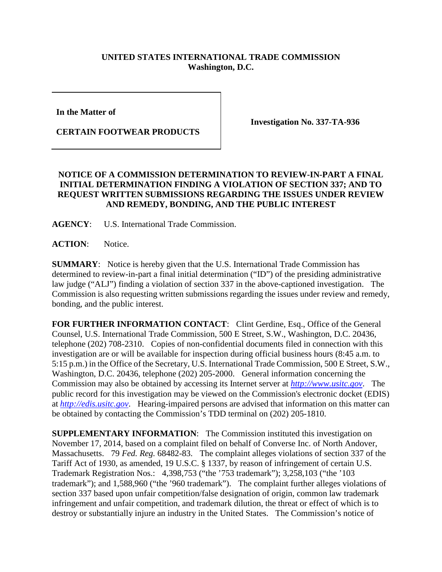## **UNITED STATES INTERNATIONAL TRADE COMMISSION Washington, D.C.**

**In the Matter of** 

**CERTAIN FOOTWEAR PRODUCTS**

**Investigation No. 337-TA-936**

## **NOTICE OF A COMMISSION DETERMINATION TO REVIEW-IN-PART A FINAL INITIAL DETERMINATION FINDING A VIOLATION OF SECTION 337; AND TO REQUEST WRITTEN SUBMISSIONS REGARDING THE ISSUES UNDER REVIEW AND REMEDY, BONDING, AND THE PUBLIC INTEREST**

**AGENCY**: U.S. International Trade Commission.

**ACTION**: Notice.

**SUMMARY**: Notice is hereby given that the U.S. International Trade Commission has determined to review-in-part a final initial determination ("ID") of the presiding administrative law judge ("ALJ") finding a violation of section 337 in the above-captioned investigation. The Commission is also requesting written submissions regarding the issues under review and remedy, bonding, and the public interest.

**FOR FURTHER INFORMATION CONTACT**: Clint Gerdine, Esq., Office of the General Counsel, U.S. International Trade Commission, 500 E Street, S.W., Washington, D.C. 20436, telephone (202) 708-2310. Copies of non-confidential documents filed in connection with this investigation are or will be available for inspection during official business hours (8:45 a.m. to 5:15 p.m.) in the Office of the Secretary, U.S. International Trade Commission, 500 E Street, S.W., Washington, D.C. 20436, telephone (202) 205-2000. General information concerning the Commission may also be obtained by accessing its Internet server at *[http://www.usitc.gov](http://www.usitc.gov/)*. The public record for this investigation may be viewed on the Commission's electronic docket (EDIS) at *[http://edis.usitc.gov](http://edis.usitc.gov/)*. Hearing-impaired persons are advised that information on this matter can be obtained by contacting the Commission's TDD terminal on (202) 205-1810.

**SUPPLEMENTARY INFORMATION**: The Commission instituted this investigation on November 17, 2014, based on a complaint filed on behalf of Converse Inc. of North Andover, Massachusetts. 79 *Fed. Reg.* 68482-83. The complaint alleges violations of section 337 of the Tariff Act of 1930, as amended, 19 U.S.C. § 1337, by reason of infringement of certain U.S. Trademark Registration Nos.: 4,398,753 ("the '753 trademark"); 3,258,103 ("the '103 trademark"); and 1,588,960 ("the '960 trademark"). The complaint further alleges violations of section 337 based upon unfair competition/false designation of origin, common law trademark infringement and unfair competition, and trademark dilution, the threat or effect of which is to destroy or substantially injure an industry in the United States. The Commission's notice of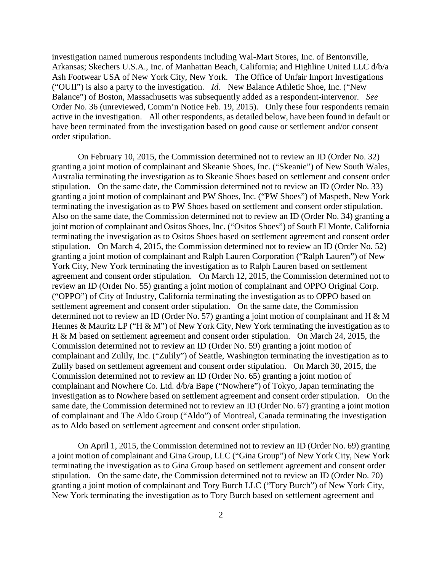investigation named numerous respondents including Wal-Mart Stores, Inc. of Bentonville, Arkansas; Skechers U.S.A., Inc. of Manhattan Beach, California; and Highline United LLC d/b/a Ash Footwear USA of New York City, New York. The Office of Unfair Import Investigations ("OUII") is also a party to the investigation. *Id.* New Balance Athletic Shoe, Inc. ("New Balance") of Boston, Massachusetts was subsequently added as a respondent-intervenor. *See* Order No. 36 (unreviewed, Comm'n Notice Feb. 19, 2015). Only these four respondents remain active in the investigation. All other respondents, as detailed below, have been found in default or have been terminated from the investigation based on good cause or settlement and/or consent order stipulation.

On February 10, 2015, the Commission determined not to review an ID (Order No. 32) granting a joint motion of complainant and Skeanie Shoes, Inc. ("Skeanie") of New South Wales, Australia terminating the investigation as to Skeanie Shoes based on settlement and consent order stipulation. On the same date, the Commission determined not to review an ID (Order No. 33) granting a joint motion of complainant and PW Shoes, Inc. ("PW Shoes") of Maspeth, New York terminating the investigation as to PW Shoes based on settlement and consent order stipulation. Also on the same date, the Commission determined not to review an ID (Order No. 34) granting a joint motion of complainant and Ositos Shoes, Inc. ("Ositos Shoes") of South El Monte, California terminating the investigation as to Ositos Shoes based on settlement agreement and consent order stipulation. On March 4, 2015, the Commission determined not to review an ID (Order No. 52) granting a joint motion of complainant and Ralph Lauren Corporation ("Ralph Lauren") of New York City, New York terminating the investigation as to Ralph Lauren based on settlement agreement and consent order stipulation. On March 12, 2015, the Commission determined not to review an ID (Order No. 55) granting a joint motion of complainant and OPPO Original Corp. ("OPPO") of City of Industry, California terminating the investigation as to OPPO based on settlement agreement and consent order stipulation. On the same date, the Commission determined not to review an ID (Order No. 57) granting a joint motion of complainant and H & M Hennes & Mauritz LP ("H & M") of New York City, New York terminating the investigation as to H & M based on settlement agreement and consent order stipulation. On March 24, 2015, the Commission determined not to review an ID (Order No. 59) granting a joint motion of complainant and Zulily, Inc. ("Zulily") of Seattle, Washington terminating the investigation as to Zulily based on settlement agreement and consent order stipulation. On March 30, 2015, the Commission determined not to review an ID (Order No. 65) granting a joint motion of complainant and Nowhere Co. Ltd. d/b/a Bape ("Nowhere") of Tokyo, Japan terminating the investigation as to Nowhere based on settlement agreement and consent order stipulation. On the same date, the Commission determined not to review an ID (Order No. 67) granting a joint motion of complainant and The Aldo Group ("Aldo") of Montreal, Canada terminating the investigation as to Aldo based on settlement agreement and consent order stipulation.

On April 1, 2015, the Commission determined not to review an ID (Order No. 69) granting a joint motion of complainant and Gina Group, LLC ("Gina Group") of New York City, New York terminating the investigation as to Gina Group based on settlement agreement and consent order stipulation. On the same date, the Commission determined not to review an ID (Order No. 70) granting a joint motion of complainant and Tory Burch LLC ("Tory Burch") of New York City, New York terminating the investigation as to Tory Burch based on settlement agreement and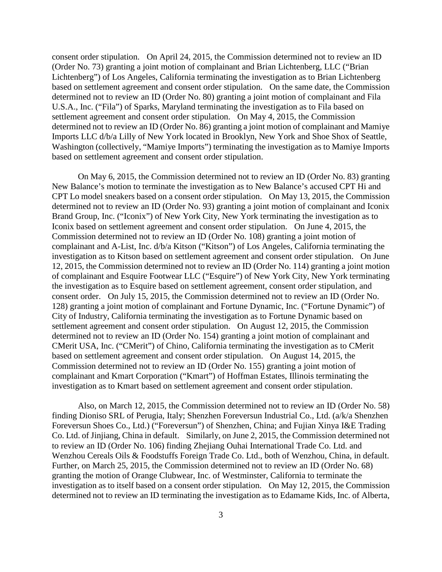consent order stipulation. On April 24, 2015, the Commission determined not to review an ID (Order No. 73) granting a joint motion of complainant and Brian Lichtenberg, LLC ("Brian Lichtenberg") of Los Angeles, California terminating the investigation as to Brian Lichtenberg based on settlement agreement and consent order stipulation. On the same date, the Commission determined not to review an ID (Order No. 80) granting a joint motion of complainant and Fila U.S.A., Inc. ("Fila") of Sparks, Maryland terminating the investigation as to Fila based on settlement agreement and consent order stipulation. On May 4, 2015, the Commission determined not to review an ID (Order No. 86) granting a joint motion of complainant and Mamiye Imports LLC d/b/a Lilly of New York located in Brooklyn, New York and Shoe Shox of Seattle, Washington (collectively, "Mamiye Imports") terminating the investigation as to Mamiye Imports based on settlement agreement and consent order stipulation.

On May 6, 2015, the Commission determined not to review an ID (Order No. 83) granting New Balance's motion to terminate the investigation as to New Balance's accused CPT Hi and CPT Lo model sneakers based on a consent order stipulation. On May 13, 2015, the Commission determined not to review an ID (Order No. 93) granting a joint motion of complainant and Iconix Brand Group, Inc. ("Iconix") of New York City, New York terminating the investigation as to Iconix based on settlement agreement and consent order stipulation. On June 4, 2015, the Commission determined not to review an ID (Order No. 108) granting a joint motion of complainant and A-List, Inc. d/b/a Kitson ("Kitson") of Los Angeles, California terminating the investigation as to Kitson based on settlement agreement and consent order stipulation. On June 12, 2015, the Commission determined not to review an ID (Order No. 114) granting a joint motion of complainant and Esquire Footwear LLC ("Esquire") of New York City, New York terminating the investigation as to Esquire based on settlement agreement, consent order stipulation, and consent order. On July 15, 2015, the Commission determined not to review an ID (Order No. 128) granting a joint motion of complainant and Fortune Dynamic, Inc. ("Fortune Dynamic") of City of Industry, California terminating the investigation as to Fortune Dynamic based on settlement agreement and consent order stipulation. On August 12, 2015, the Commission determined not to review an ID (Order No. 154) granting a joint motion of complainant and CMerit USA, Inc. ("CMerit") of Chino, California terminating the investigation as to CMerit based on settlement agreement and consent order stipulation. On August 14, 2015, the Commission determined not to review an ID (Order No. 155) granting a joint motion of complainant and Kmart Corporation ("Kmart") of Hoffman Estates, Illinois terminating the investigation as to Kmart based on settlement agreement and consent order stipulation.

Also, on March 12, 2015, the Commission determined not to review an ID (Order No. 58) finding Dioniso SRL of Perugia, Italy; Shenzhen Foreversun Industrial Co., Ltd. (a/k/a Shenzhen Foreversun Shoes Co., Ltd.) ("Foreversun") of Shenzhen, China; and Fujian Xinya I&E Trading Co. Ltd. of Jinjiang, China in default. Similarly, on June 2, 2015, the Commission determined not to review an ID (Order No. 106) finding Zhejiang Ouhai International Trade Co. Ltd. and Wenzhou Cereals Oils & Foodstuffs Foreign Trade Co. Ltd., both of Wenzhou, China, in default. Further, on March 25, 2015, the Commission determined not to review an ID (Order No. 68) granting the motion of Orange Clubwear, Inc. of Westminster, California to terminate the investigation as to itself based on a consent order stipulation. On May 12, 2015, the Commission determined not to review an ID terminating the investigation as to Edamame Kids, Inc. of Alberta,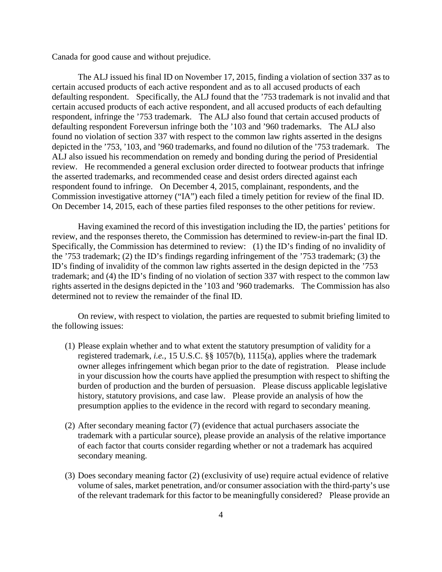Canada for good cause and without prejudice.

The ALJ issued his final ID on November 17, 2015, finding a violation of section 337 as to certain accused products of each active respondent and as to all accused products of each defaulting respondent. Specifically, the ALJ found that the '753 trademark is not invalid and that certain accused products of each active respondent, and all accused products of each defaulting respondent, infringe the '753 trademark. The ALJ also found that certain accused products of defaulting respondent Foreversun infringe both the '103 and '960 trademarks. The ALJ also found no violation of section 337 with respect to the common law rights asserted in the designs depicted in the '753, '103, and '960 trademarks, and found no dilution of the '753 trademark. The ALJ also issued his recommendation on remedy and bonding during the period of Presidential review. He recommended a general exclusion order directed to footwear products that infringe the asserted trademarks, and recommended cease and desist orders directed against each respondent found to infringe. On December 4, 2015, complainant, respondents, and the Commission investigative attorney ("IA") each filed a timely petition for review of the final ID. On December 14, 2015, each of these parties filed responses to the other petitions for review.

Having examined the record of this investigation including the ID, the parties' petitions for review, and the responses thereto, the Commission has determined to review-in-part the final ID. Specifically, the Commission has determined to review: (1) the ID's finding of no invalidity of the '753 trademark; (2) the ID's findings regarding infringement of the '753 trademark; (3) the ID's finding of invalidity of the common law rights asserted in the design depicted in the '753 trademark; and (4) the ID's finding of no violation of section 337 with respect to the common law rights asserted in the designs depicted in the '103 and '960 trademarks. The Commission has also determined not to review the remainder of the final ID.

On review, with respect to violation, the parties are requested to submit briefing limited to the following issues:

- (1) Please explain whether and to what extent the statutory presumption of validity for a registered trademark, *i.e.*, 15 U.S.C. §§ 1057(b), 1115(a), applies where the trademark owner alleges infringement which began prior to the date of registration. Please include in your discussion how the courts have applied the presumption with respect to shifting the burden of production and the burden of persuasion. Please discuss applicable legislative history, statutory provisions, and case law. Please provide an analysis of how the presumption applies to the evidence in the record with regard to secondary meaning.
- (2) After secondary meaning factor (7) (evidence that actual purchasers associate the trademark with a particular source), please provide an analysis of the relative importance of each factor that courts consider regarding whether or not a trademark has acquired secondary meaning.
- (3) Does secondary meaning factor (2) (exclusivity of use) require actual evidence of relative volume of sales, market penetration, and/or consumer association with the third-party's use of the relevant trademark for this factor to be meaningfully considered? Please provide an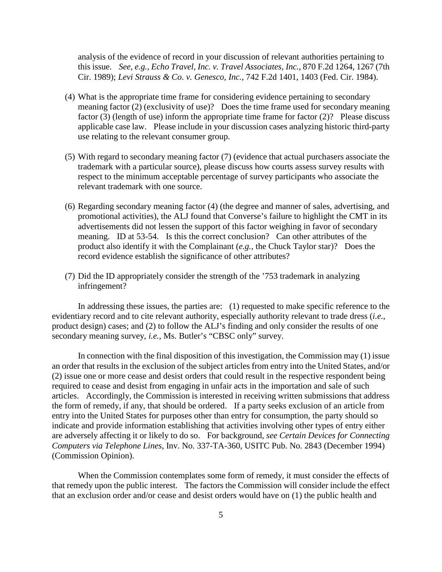analysis of the evidence of record in your discussion of relevant authorities pertaining to this issue. *See, e.g.*, *Echo Travel, Inc. v. Travel Associates, Inc.*, 870 F.2d 1264, 1267 (7th Cir. 1989); *Levi Strauss & Co. v. Genesco, Inc.*, 742 F.2d 1401, 1403 (Fed. Cir. 1984).

- (4) What is the appropriate time frame for considering evidence pertaining to secondary meaning factor (2) (exclusivity of use)? Does the time frame used for secondary meaning factor (3) (length of use) inform the appropriate time frame for factor (2)? Please discuss applicable case law. Please include in your discussion cases analyzing historic third-party use relating to the relevant consumer group.
- (5) With regard to secondary meaning factor (7) (evidence that actual purchasers associate the trademark with a particular source), please discuss how courts assess survey results with respect to the minimum acceptable percentage of survey participants who associate the relevant trademark with one source.
- (6) Regarding secondary meaning factor (4) (the degree and manner of sales, advertising, and promotional activities), the ALJ found that Converse's failure to highlight the CMT in its advertisements did not lessen the support of this factor weighing in favor of secondary meaning. ID at 53-54. Is this the correct conclusion? Can other attributes of the product also identify it with the Complainant (*e.g.*, the Chuck Taylor star)? Does the record evidence establish the significance of other attributes?
- (7) Did the ID appropriately consider the strength of the '753 trademark in analyzing infringement?

In addressing these issues, the parties are: (1) requested to make specific reference to the evidentiary record and to cite relevant authority, especially authority relevant to trade dress (*i.e.*, product design) cases; and (2) to follow the ALJ's finding and only consider the results of one secondary meaning survey, *i.e.*, Ms. Butler's "CBSC only" survey.

In connection with the final disposition of this investigation, the Commission may (1) issue an order that results in the exclusion of the subject articles from entry into the United States, and/or (2) issue one or more cease and desist orders that could result in the respective respondent being required to cease and desist from engaging in unfair acts in the importation and sale of such articles. Accordingly, the Commission is interested in receiving written submissions that address the form of remedy, if any, that should be ordered. If a party seeks exclusion of an article from entry into the United States for purposes other than entry for consumption, the party should so indicate and provide information establishing that activities involving other types of entry either are adversely affecting it or likely to do so. For background, *see Certain Devices for Connecting Computers via Telephone Lines*, Inv. No. 337-TA-360, USITC Pub. No. 2843 (December 1994) (Commission Opinion).

When the Commission contemplates some form of remedy, it must consider the effects of that remedy upon the public interest. The factors the Commission will consider include the effect that an exclusion order and/or cease and desist orders would have on (1) the public health and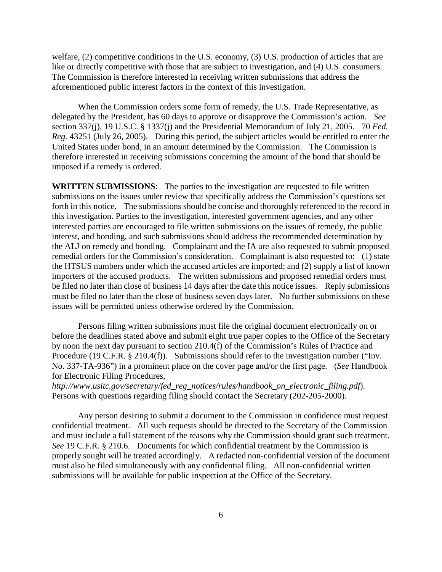welfare, (2) competitive conditions in the U.S. economy, (3) U.S. production of articles that are like or directly competitive with those that are subject to investigation, and (4) U.S. consumers. The Commission is therefore interested in receiving written submissions that address the aforementioned public interest factors in the context of this investigation.

When the Commission orders some form of remedy, the U.S. Trade Representative, as delegated by the President, has 60 days to approve or disapprove the Commission's action. *See*  section 337(j), 19 U.S.C. § 1337(j) and the Presidential Memorandum of July 21, 2005. 70 *Fed. Reg.* 43251 (July 26, 2005). During this period, the subject articles would be entitled to enter the United States under bond, in an amount determined by the Commission. The Commission is therefore interested in receiving submissions concerning the amount of the bond that should be imposed if a remedy is ordered.

**WRITTEN SUBMISSIONS**: The parties to the investigation are requested to file written submissions on the issues under review that specifically address the Commission's questions set forth in this notice. The submissions should be concise and thoroughly referenced to the record in this investigation. Parties to the investigation, interested government agencies, and any other interested parties are encouraged to file written submissions on the issues of remedy, the public interest, and bonding, and such submissions should address the recommended determination by the ALJ on remedy and bonding. Complainant and the IA are also requested to submit proposed remedial orders for the Commission's consideration. Complainant is also requested to: (1) state the HTSUS numbers under which the accused articles are imported; and (2) supply a list of known importers of the accused products. The written submissions and proposed remedial orders must be filed no later than close of business 14 days after the date this notice issues. Reply submissions must be filed no later than the close of business seven days later. No further submissions on these issues will be permitted unless otherwise ordered by the Commission.

Persons filing written submissions must file the original document electronically on or before the deadlines stated above and submit eight true paper copies to the Office of the Secretary by noon the next day pursuant to section 210.4(f) of the Commission's Rules of Practice and Procedure (19 C.F.R. § 210.4(f)). Submissions should refer to the investigation number ("Inv. No. 337-TA-936") in a prominent place on the cover page and/or the first page. (*See* Handbook for Electronic Filing Procedures,

*http://www.usitc.gov/secretary/fed\_reg\_notices/rules/handbook\_on\_electronic\_filing.pdf*). Persons with questions regarding filing should contact the Secretary (202-205-2000).

Any person desiring to submit a document to the Commission in confidence must request confidential treatment. All such requests should be directed to the Secretary of the Commission and must include a full statement of the reasons why the Commission should grant such treatment. *See* 19 C.F.R. § 210.6. Documents for which confidential treatment by the Commission is properly sought will be treated accordingly. A redacted non-confidential version of the document must also be filed simultaneously with any confidential filing. All non-confidential written submissions will be available for public inspection at the Office of the Secretary.